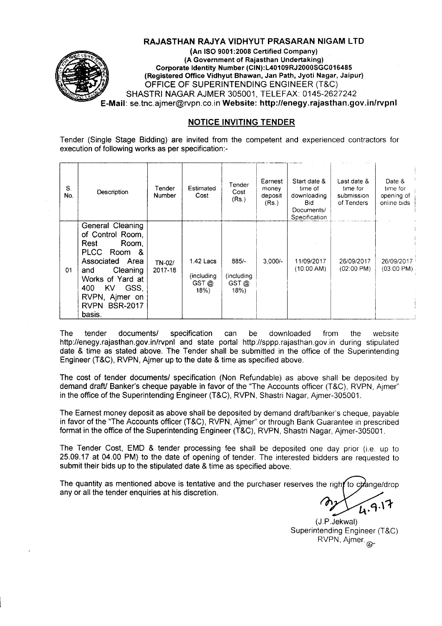

#### RAJASTHAN RAJYA VIDHYUT PRASARAN NIGAM LTD

(An ISO 9001:2008 Certified Company) (A Government of Rajasthan Undertaking) Corporate Identity Number (CIN):L40109RJ2000SGC016485 (Registered Office Vidhyut Shawan, Jan Path, Jyoti Nagar, Jaipur) OFFICE OF SUPERINTENDING ENGINEER (T&C) SHASTRI NAGAR AJMER 305001, TELEFAX: 0145-2627242 E-Mail: se.tnc.ajmer@rvpn.co.in Website: http://enegy.rajasthan.gov.in/rvpnl

#### NOTICE INVITING TENDER

Tender (Single Stage Bidding) are invited from the competent and experienced contractors for execution of following works as per specification:-

| S.<br>No. | Description                                                                                                                                                                                                          | Tender<br>Number  | Estimated<br>Cost                      | Tender<br>Cost<br>(Rs.)                | Earnest<br>money<br>deposit<br>(Rs.) | Start date &<br>time of<br>downloading<br><b>Bid</b><br>Documents/<br>Specification | Last date &<br>time for<br>submission<br>of Tenders | Date &<br>time for<br>opening of<br>online bids |
|-----------|----------------------------------------------------------------------------------------------------------------------------------------------------------------------------------------------------------------------|-------------------|----------------------------------------|----------------------------------------|--------------------------------------|-------------------------------------------------------------------------------------|-----------------------------------------------------|-------------------------------------------------|
| 01        | General Cleaning<br>of Control Room,<br>Rest<br>Room,<br><b>PLCC</b><br>Room &<br>Area<br>Associated<br>Cleaning<br>and<br>Works of Yard at<br><b>KV</b><br>400<br>GSS,<br>RVPN, Ajmer on<br>RVPN BSR-2017<br>basis. | TN-02/<br>2017-18 | 1.42 Lacs<br>(including<br>GST@<br>18% | $885/-$<br>(including<br>GST @<br>18%) | $3.000/-$                            | 11/09/2017<br>(10:00 AM)                                                            | 26/09/2017<br>$(02:00 \text{ PM})$                  | 26/09/2017<br>$(03:00 \text{ PM})$              |

The tender documents/ specification can be downloaded from the website http://enegy.rajasthan.gov.in/rvpnl and state portal http://sppp.rajasthan.gov.in during stipulated date & time as stated above. The Tender shall be submitted in the office of the Superintending Engineer (T&C), RVPN, Ajmer up to the date & time as specified above.

The cost of tender documents/ specification (Non Refundable) as above shall be deposited by demand draft/ Banker's cheque payable in favor of the "The Accounts officer (T&C), RVPN, Aimer" in the office of the Superintending Engineer (T&C), RVPN, Shastri Nagar, Ajmer-305001.

The Earnest money deposit as above shall be deposited by demand draft/banker's cheque, payable in favor of the "The Accounts officer (T&C), RVPN, Ajmer" or through Bank Guarantee in prescribed format in the office of the Superintending Engineer (T&C), RVPN, Shastri Nagar, Ajmer-305001.

The Tender Cost, EMD & tender processing fee shall be deposited one day prior (i.e. up to 25.09.17 at 04.00 PM) to the date of opening of tender. The interested bidders are requested to submit their bids up to the stipulated date & time as specified above.

The quantity as mentioned above is tentative and the purchaser reserves the right to change/drop any or all the tender enquiries at his discretion.

(J.P.Jekwal) Superintending Engineer (T&C)  $RVPN$ , Ajmer. $\infty$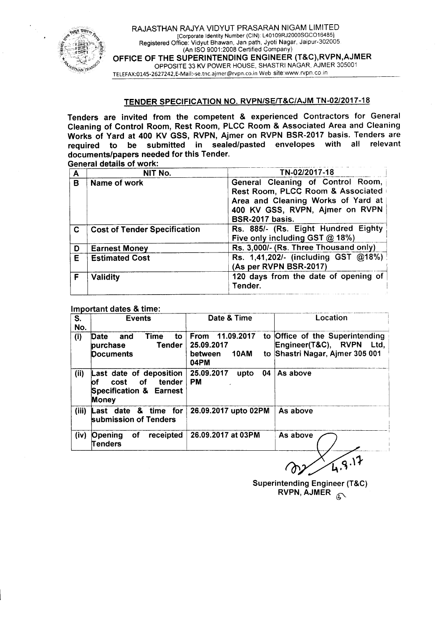

### TENDER SPECIFICATION NO. RVPN/SE/T&C/AJM *TN-02/2017-18*

Tenders are invited from the competent & experienced Contractors for General Cleaning of Control Room, Rest Room, PLCC Room & Associated Area and Cleaning Works of Yard at 400 KV GSS, RVPN, Ajmer on RVPN BSR-2017 basis. Tenders are required to be submitted in sealed/pasted envelopes with all relevant required to be submitted in sealed/pasted envelopes with all documents/papers needed for this Tender. General details of work'

| A  | NIT No.                             | TN-02/2017-18                                                                                                                                                      |
|----|-------------------------------------|--------------------------------------------------------------------------------------------------------------------------------------------------------------------|
| B  | Name of work                        | General Cleaning of Control Room,<br>Rest Room, PLCC Room & Associated<br>Area and Cleaning Works of Yard at<br>400 KV GSS, RVPN, Ajmer on RVPN<br>BSR-2017 basis. |
| C  | <b>Cost of Tender Specification</b> | Rs. 885/- (Rs. Eight Hundred Eighty<br>Five only including GST @ 18%)                                                                                              |
| D  | <b>Earnest Money</b>                | Rs. 3,000/- (Rs. Three Thousand only)                                                                                                                              |
| E. | <b>Estimated Cost</b>               | Rs. 1,41,202/- (including GST @18%)<br>(As per RVPN BSR-2017)                                                                                                      |
| F  | <b>Validity</b>                     | 120 days from the date of opening of<br>Tender.                                                                                                                    |

#### Important dates & time:

| $\overline{\mathsf{s}}$ .<br>No. | <b>Events</b>                                                                                         | Date & Time                                                        | Location                                                                                          |  |  |  |
|----------------------------------|-------------------------------------------------------------------------------------------------------|--------------------------------------------------------------------|---------------------------------------------------------------------------------------------------|--|--|--|
| (i)                              | Time<br>to<br>Date<br>and<br><b>Tender</b><br>purchase<br><b>Documents</b>                            | 11.09.2017<br>From<br>25.09.2017<br><b>10AM</b><br>between<br>04PM | to Office of the Superintending<br>Engineer(T&C), RVPN<br>Ltd.<br>to Shastri Nagar, Ajmer 305 001 |  |  |  |
| (i)                              | Last date of deposition<br>tender<br>оf<br>cost<br>of.<br><b>Specification &amp; Earnest</b><br>Money | 25.09.2017<br>04<br>upto<br><b>PM</b>                              | As above                                                                                          |  |  |  |
| (iii)                            | for<br>date & time<br>Last<br>submission of Tenders                                                   | 26.09.2017 upto 02PM                                               | As above                                                                                          |  |  |  |
| (iv)                             | оf<br>receipted<br>Opening<br>Tenders                                                                 | 26.09.2017 at 03PM                                                 | As above                                                                                          |  |  |  |

Superintending Engineer (T&C) RVPN,  $\widetilde{A}$ JMER  $\widehat{A}$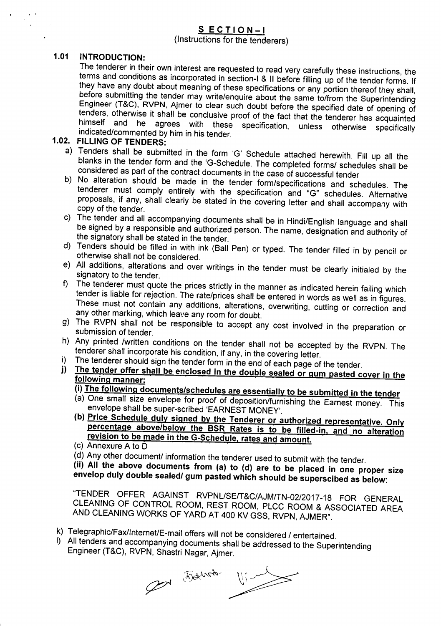# SECTION-I

(Instructions for the tenderers)

# 1.01 INTRODUCTION:

· .

t.  $\mathcal{L}^{\mathcal{L}}$  $\mathcal{A}^{\pm}$ 

> The tenderer in their own interest are requested to read very carefully these instructions, the terms and conditions as incorporated in section-I & II before filling up of the tender forms. If they have any doubt about meaning of these specifications or any portion thereof they shall, before submitting the tender may write/enquire about the same to/from the Superintending Engineer (T&C), RVPN, Ajmer to clear such doubt before the specified date of opening of tenders, otherwise it shall be conclusive proof of the fact that the tenderer has acquainted himself and he agrees with these specification, unless otherwise specifically indicated/commented by him in his tender.

# 1.02. FILLING OF TENDERS:

- a) Tenders shall be submitted in the form 'G' Schedule attached herewith. Fill up all the blanks in the tender form and the 'G-Schedule. The completed forms/ schedules shall be considered as part of the contract documents in the case of successful tender
- b) No alteration should be made in the tender form/specifications and schedules. The tenderer must comply entirely with the specification and "G" schedules. Alternative proposals, if any, shall clearly be stated in the covering letter and shall accompany with copy of the tender.
- c) The tender and all accompanying documents shall be in Hindi/English language and shall be signed by a responsible and authorized person. The name, designation and authority of the signatory shall be stated in the tender.
- d) Tenders should be filled in with ink (8all Pen) or typed. The tender filled in by pencil or otherwise shall not be considered.
- e) All additions, alterations and over writings in the tender must be clearly initialed by the signatory to the tender.
- f) The tenderer must quote the prices strictly in the manner as indicated herein failing which tender is liable for rejection. The rate/prices shall be entered in words as well as in figures. These must not contain any additions, alterations, overwriting, cutting or correction and any other marking, which leave any room for doubt.
- g) The RVPN shall not be responsible to accept any cost involved in the preparation or submission of tender.
- h) Any printed /written conditions on the tender shall not be accepted by the RVPN. The tenderer shall incorporate his condition, if any, in the covering letter.
- i) The tenderer should sign the tender form in the end of each page of the tender.
- j) The tender offer shall be enclosed in the double sealed or gum pasted cover in the following manner:
	- (i) The following documents/schedules are essentially to be submitted in the tender
	- (a) One small size envelope for proof of deposition/furnishing the Earnest money. This envelope shall be super-scribed 'EARNEST MONEY'.
	- (b) Price Schedule duly signed by the Tenderer or authorized representative. Only percentage above/below the BSR Rates is to be filled-in. and no alteration revision to be made in the G-Schedule. rates and amount.
	- (c) Annexure A to D '
	- $(d)$  Any other document/ information the tenderer used to submit with the tender.

(ii) All the above documents from (a) to (d) are to be placed in one proper size envelop duly double sealed/ gum pasted which should be superscibed as below:

"TENDER OFFER AGAINST RVPNL/SE/T&C/AJM/TN-02/2017-18 FOR GENERAL CLEANING OF CONTROL ROOM, REST ROOM, PLCC ROOM & ASSOCIATED AREA AND CLEANING WORKS OF YARD AT 400 KV GSS, RVPN, AJMER".

- k) Telegraphic/Fax/Internet/E-mail offers will not be considered / entertained.
- I) All tenders and accompanying documents shall be addressed to the Superintending Engineer (T&C), RVPN, Shastri Nagar, Ajmer.

Pot Darrot Vind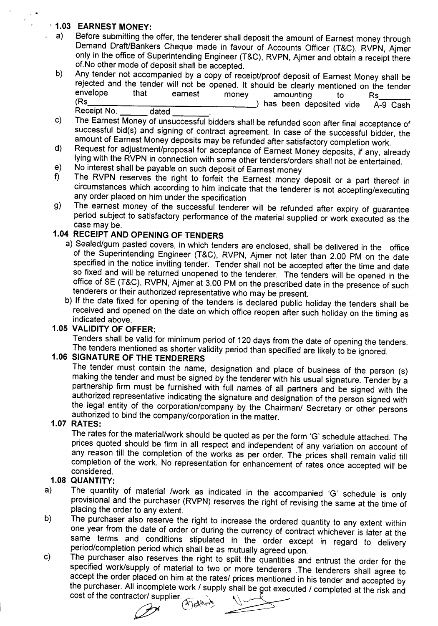# '1.03 EARNEST MONEY:

. .

- a) Before submitting the offer, the tenderer shall deposit the amount of Earnest money through Demand Draft/Bankers Cheque made in favour of Accounts Officer (T&C), RVPN, Ajmer only in the office of Superintending Engineer (T&C), RVPN, Ajmer and obtain a receipt there of.No other mode of deposit shall be accepted.
- b) Any tender not accompanied by a copy of receipt/proof deposit of Earnest Money shall be rejected and the tender will not be opened. It should be clearly mentioned on the tender envelope that earnest money amounting to Rs. (Rs ) has been deposited vide A-9 Cash Receipt No.
- c) The Earnest Money of unsuccessful bidders shall be refunded soon after final acceptance of successful bid(s) and signing of contract agreement. In case of the successful bidder, the amount of Earnest Money deposits may be refunded after satisfactory completion work.
- d) Request for adjustment/proposal for acceptance of Earnest Money deposits, if any, already lying with the RVPN in connection with some other tenders/orders shall not be entertained.
- e) No interest shall be payable on such deposit of Earnest money<br>f) The RVPN reserves the right to forfeit the Earnest money
- The RVPN reserves the right to forfeit the Earnest money deposit or a part thereof in circumstances which according to him indicate that the tenderer is not accepting/executing any order placed on him under the specification
- g) The earnest money of the successful tenderer will be refunded after expiry of guarantee period subject to satisfactory performance of the material supplied or work executed as the case may be.

# 1.04 RECEIPT AND OPENING OF TENDERS

- a) Sealed/gum pasted covers, in which tenders are enclosed, shall be delivered in the office of the Superintending Engineer (T&C), RVPN, Ajmer not later than 2.00 PM on the date specified in the notice inviting tender. Tender shall not be accepted after the time and date so fixed and will be returned unopened to the tenderer. The tenders will be opened in the office of SE (T&C), RVPN, Ajmer at 3.00 PM on the prescribed date in the presence of such tenderers or their authorized representative who may be present.
- b) If the date fixed for opening of the tenders is declared public holiday the tenders shall be received and opened on the date on which office reopen after such holiday on the timing as indicated above.

# 1.05 VALIDITY OF OFFER:

Tenders shall be valid for minimum period of 120 days from the date of opening the tenders. The tenders mentioned as shorter validity period than specified are likely to be ignored.

# 1.06 SIGNATURE OF THE TENDERERS

The tender must contain the name, designation and place of business of the person (s) making the tender and must be signed by the tenderer with his usual signature. Tender by a partnership firm must be furnished with full names of all partners and be signed with the authorized representative indicating the signature and designation of the person signed with the legal entity of the corporation/company by the Chairman/ Secretary or other persons authorized to bind the company/corporation in the matter.

### 1.07 RATES:

The rates for the material/work should be quoted as per the form 'G' schedule attached. The prices quoted should be firm in all respect and independent of any variation on account of any reason till the completion of the works as per order. The prices shall remain valid till completion of the work. No representation for enhancement of rates once accepted will be considered.

## 1.08 QUANTITY:

- a) The quantity of material /work as indicated in the accompanied 'G' schedule is only provisional and the purchaser (RVPN) reserves the right of revising the same at the time of placing the order to any extent.
- b) The purchaser also reserve the right to increase the ordered quantity to any extent within one year from the date of order or during the currency of contract whichever is later at the same terms and conditions stipulated in the order except in regard to delivery period/completion period which shall be as mutually agreed upon.
- c) The purchaser also reserves the right to split the quantities and entrust the order for the specified work/supply of material to two or more tenderers .The tenderers shall agree to accept the order placed on him at the rates/ prices mentioned in his tender and accepted by the purchaser. All incomplete work / supply shall be got executed / completed at the risk and

cost of the contractor/ supplier.  $\mathcal{L}^{\mathcal{A}}$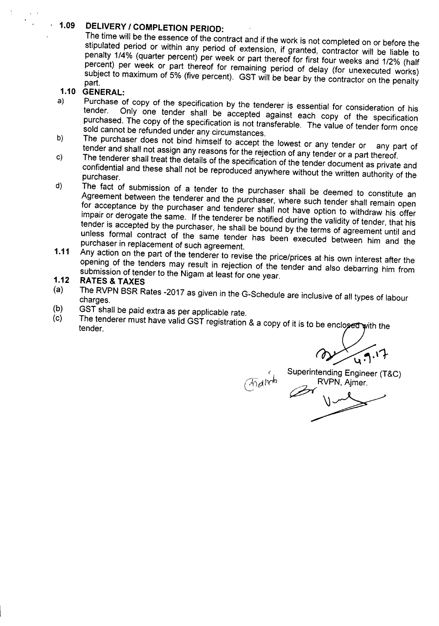#### **, 1.09 DELIVERY** *I* **COMPLETION PERIOD:**

The time will be the essence of the contract and if the work is not completed on or before the stipulated period or within any period of extension, if granted, contractor will be liable to penalty 1/4% (quarter percent) per week or part thereof for first four weeks and 1/2% (half percent) per week or part thereof for remaining period of delay (for unexecuted works) subject to maximum of 5% (five percent). GST will be bear by the contractor on the penalty part.

### **1.10 GENERAL:**

- a) Purchase of copy of the specification by the tenderer is essential for consideration of his Only one tender shall be accepted against each copy of the specification purchased. The copy of the specification is not transferable. The value of tender form once sold cannot be refunded under any circumstances.
- The purchaser does not bind himself to accept the lowest or any tender or any part of tender and shall not assign any reasons for the rejection of any tender or a part thereof. b)
- The tenderer shall treat the details of the specification of the tender document as private and confidential and these shall not be reproduced anywhere without the written authority of the purchaser. c)
- d) The fact of submission of a tender to the purchaser shall be deemed to constitute an Agreement between the tenderer and the purchaser, where such tender shall remain open for acceptance by the purchaser and tenderer shall not have option to withdraw his offer impair or derogate the same. If the tenderer be notified during the validity of tender, that his tender is accepted by the purchaser, he shall be bound by the terms of agreement until and unless formal contract of the same tender has been executed between him and the purchaser in replacement of such agreement.
- **1.11** Any action on the part of the tenderer to revise the price/prices at his own interest after the opening of the tenders may result in rejection of the tender and also debarring him from submission of tender to the Nigam at least for one year.

#### **1.12 RATES & TAXES**

- (a) The RVPN BSR Rates -2017 as given in the G-Schedule are inclusive of all types of labour charges.
- (b) GST shall be paid extra as per applicable rate.
- (c) The tenderer must have valid GST registration & a copy of it is to be enclosed with the tender.

~\~

Superintending Engineer (T&C) RVPN, Ajmer.

 $\overbrace{p}$ <br> $\overbrace{p}$ <br> $\overbrace{p}$ <br> $\overbrace{p}$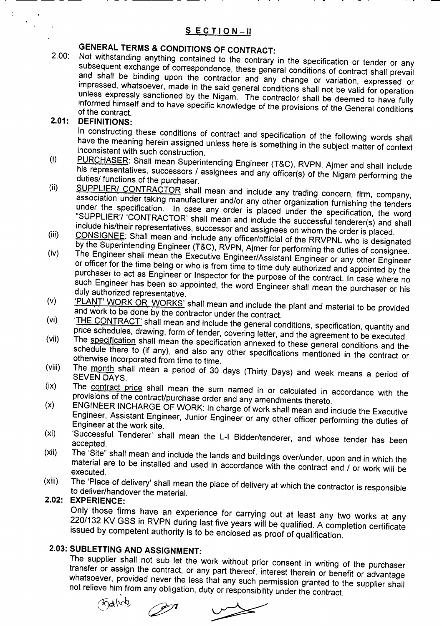# GENERAL TERMS & CONDITIONS OF CONTRACT:

-------

2.00: Not withstanding anything contained to the contrary in the specification or tender or any subsequent exchange of correspondence, these general conditions of contract shall prevail and shall be binding upon the contractor and any change or variation, expressed or impressed, whatsoever, made in the said general conditions shall not be valid for operation unless expressly sanctioned by the Nigam. The contractor shall be deemed to have fully informed himself and to have specific knowledge of the provisions of the General conditions of the contract.

#### 2.01: DEFINITIONS:

÷

 $\bullet$  $\mathcal{L}$ 

> In constructing these conditions of contract and specification of the following words shall have the meaning herein assipned unless here is something in the subject matter of context inconsistent with such construction.

- (i) PURCHASER: Shall mean Superintending Engineer (T&C), RVPN, Ajmer and shall include his representatives, successors / assignees and any officer(s) of the Nigam performing the duties/ functions of the purchaser.
- (ii) SUPPLIER/ CONTRACTOR shall mean and include any trading concern, firm, company, association under taking manufacturer and/or any other organization furnishing the tenders under the specification. In case any order is placed under the specification, the word "SUPPLIER'/ 'CONTRACTOR' shall mean and include the successful tenderer(s) and shall include his/their representatives, successor and assignees on whom the order is placed.
- (iii) CONSIGNEE: Shall mean and include any officer/official of the RRVPNL who is designated by the Superintending Engineer (T&C), RVPN, Ajmer for performing the duties of consignee.
- (iv) The Engineer shall mean the Executive Engineer/Assistant Engineer or any other Engineer or officer for the time being or who is from time to time duly authorized and appointed by the purchaser to act as Engineer or Inspector for the purpose of the contract. In case where no such Engineer has been so appointed, the word Engineer shall mean the purchaser or his duly authorized representative.
- (v) 'PLANT' WORK OR 'WORKS' shall mean and include the plant and material to be provided and work to be done by the contractor under the contract.
- (vi) 'THE CONTRACT' shall mean and include the general conditions, specification, quantity and price schedules, drawing, form of tender, covering letter, and the agreement to be executed.
- (vii) The specification shall mean the specification annexed to these general conditions and the schedule there to (if any), and also any other specifications mentioned in the contract or otherwise incorporated from time to time.
- (viii) The month shall mean a period of 30 days (Thirty Days) and week means a period of SEVEN DAYS.
- (ix) *(x)* The contract price shall mean the sum named in or calculated in accordance with the provisions of the contract/purchase order and any amendments thereto.
- ENGINEER INCHARGE OF WORK: In charge of work shall mean and include the Executive Engineer, Assistant Engineer, Junior Engineer or any other officer performing the duties of Engineer at the work site.
- (xi) 'Successful Tenderer' shall mean the L-I Bidder/tenderer, and whose tender has been accepted.
- (xii) The 'Site" shall mean and include the lands and buildings over/under, upon and in which the material are to be installed and used in accordance with the contract and / or work will be executed.
- (xiii) The 'Place of delivery' shall mean the place of delivery at which the contractor is responsible to deliver/handover the material.

#### 2.02: EXPERIENCE:

Only those firms have an experience for carrying out at least any two works at any 220/132 KV GSS in RVPN during last five years will be qualified. A completion certificate issued by competent authority is to be enclosed as proof of qualification.

# 2.03: SUBLETTING AND ASSIGNMENT:

The supplier shall not sub let the work without prior consent in writing of the purchaser transfer or assign the contract, or any part thereof, interest therein or benefit or advantage whatsoever, provided never the less that any such permission granted to the supplier shall not relieve him from any obligation, duty or responsibility under the contract.

 $O(10^{10})$   $O(10^{10})$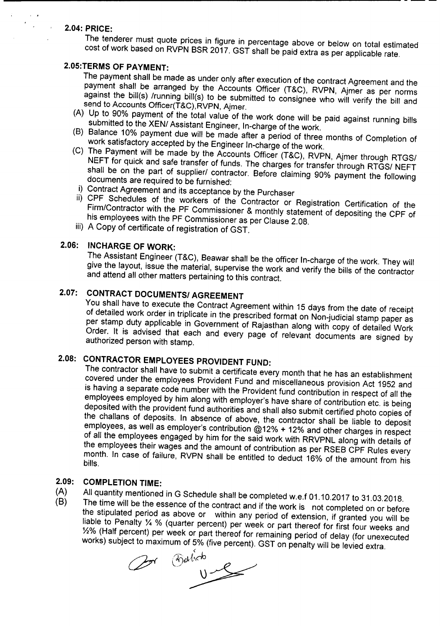## 2.04: PRICE:

 $\mathbb{R}^2$ 

The tenderer must quote prices in figure in percentage above or below on total estimated cost of work based on RVPN BSR 2017. GST shall be paid extra as per applicable rate.

-----------------------------------

# 2.05:TERMS OF PAYMENT:

The payment shall be made as under only after execution of the contract Agreement and the payment shall be arranged by the Accounts Officer (T&C), RVPN, Ajmer as per norms against the bill(s) /running bill(s) to be submitted to consignee who will verify the bill and send to Accounts Officer(T&C),RVPN, Ajmer.

- (A) Up to 90% payment of the total value of the work done will be paid against running bills submitted to the XEN/ Assistant Engineer, In-charge of the work.
- (B) Balance 10% payment due will be made after a period of three months of Completion of work satisfactory accepted by the Engineer In-charge of the work.
- (C) The Payment will be made by the Accounts Officer (T&C), RVPN, Ajmer through RTGS/ NEFT for quick and safe transfer of funds. The charges for transfer through RTGS/ NEFT shall be on the part of supplier/ contractor. Before claiming 90% payment the following documents are required to be furnished:
- i) Contract Agreement and its acceptance by the Purchaser
- ii) CPF Schedules of the workers of the Contractor or Registration Certification of the Firm/Contractor with the PF Commissioner & monthly statement of depositing the CPF of his employees with the PF Commissioner as per Clause 2.08.
- iii) A Copy of certificate of registration of GST.

# 2.06: INCHARGE OF WORK:

The Assistant Engineer (T&C), Beawar shall be the officer In-charge of the work. They will give the layout, issue the material, supervise the work and verify the bills of the contractor and attend all other matters pertaining to this contract.

# 2.07: CONTRACT DOCUMENTSI AGREEMENT

You shall have to execute the Contract Agreement within 15 days from the date of receipt of detailed work order in triplicate in the prescribed format on Non-judicial stamp paper as per stamp duty applicable in Government of Rajasthan along with copy of detailed Work Order. It is advised that each and every page of relevant documents are signed by authorized person with stamp.

# 2.08: CONTRACTOR EMPLOYEES PROVIDENT FUND:

The contractor shall have to submit a certificate every month that he has an establishment covered under the employees Provident Fund and miscellaneous provision Act 1952 and is having a separate code number with the Provident fund contribution in respect of all the employees employed by him along with employer's have share of contribution etc. is being deposlted with the provident fund authorities and shall also submit certified photo copies of the challans of deposits. In absence of above, the contractor shall be liable to deposit employees, as well as employer's contribution @12% + 12% and other charges in respect of all the employees engaged by him for the said work with RRVPNL along with details of the employees their wages and the amount of contribution as per RSEB CPF Rules every month. In case of failure, RVPN shall be entitled to deduct 16% of the amount from his bills.

# 2.09: COMPLETION TIME:

- (A) All quantity mentioned in G Schedule shall be completed w.e.f 01.10.2017 to 31.03.2018.<br>(B) The time will be the essence of the contract and if the west is
- The time will be the essence of the contract and if the work is not completed on or before the stipulated period as above or within any period of extension, if granted you will be liable to Penalty 1/4 % (quarter percent) per week or part thereof for first four weeks and %% (Half percent) per week or part thereof for remaining period of delay (for unexecuted works) subject to maximum of 5% (five percent). GST on penalty will be levied extra.

Cor<sup>e</sup> Falico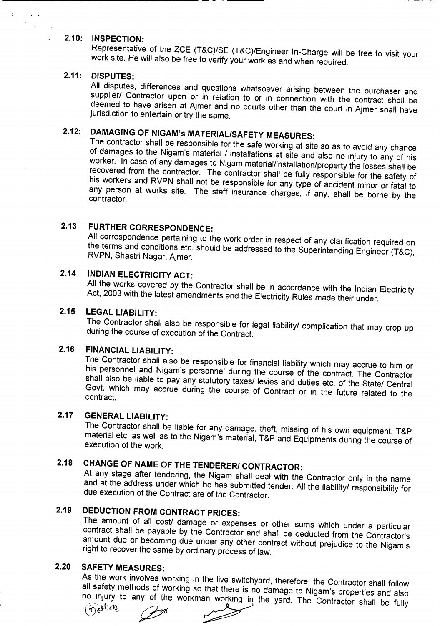### 2.10: INSPECTION:

Representative of the ZCE (T&C)/SE (T&C)/Engineer In-Charge will be free to visit your work site. He will also be free to verify your work as and when required.

### 2.11: DISPUTES:

All disputes, differences and questions whatsoever arising between the purchaser and supplier/ Contractor upon or in relation to or in connection with the contract shall be deemed to have arisen at Ajmer and no courts other than the court in Ajmer shall have jurisdiction to entertain or try the same.

# 2.12: DAMAGING OF NIGAM's MATERIAL/SAFETY MEASURES:

The contractor shall be responsible for the safe working at site so as to avoid any chance of damages to the Nigam's material / installations at site and also no injury to any of his worker. In case of any damages to Nigam material/installation/property the losses shall be recovered from the contractor. The contractor shall be fully responsible for the safety of his workers and RVPN shall not be responsible for any type of accident minor or fatal to any person at works site. The staff insurance charges, if any, shall be borne by the contractor.

# 2.13 FURTHER CORRESPONDENCE:

All correspondence pertaining to the work order in respect of any clarification required on the terms and conditions etc. should be addressed to the Superintending Engineer (T&C), RVPN, Shastri Nagar, Ajmer.

# 2.14 INDIAN ELECTRICITY ACT:

All the works covered by the Contractor shall be in accordance with the Indian Electricity Act, 2003 with the latest amendments and the Electricity Rules made their under.

## 2.15 LEGAL LIABILITY:

The Contractor shall also be responsible for legal liability/ complication that may crop up during the course of execution of the Contract.

## 2.16 FINANCIAL LIABILITY:

The Contractor shall also be responsible for financial liability which may accrue to him or his personnel and Nigam's personnel during the course of the contract. The Contractor shall also be liable to pay any statutory taxes/ levies and duties etc. of the State/ Central Govt. which may accrue during the course of Contract or in the future related to the contract.

## 2.17 GENERAL LIABILITY:

The Contractor shall be liable for any damage, theft, missing of his own equipment, T&P material etc. as well as to the Nigam's material, T&P and Equipments during the course of execution of the work.

# 2.18 CHANGE OF NAME OF THE TENDERERI CONTRACTOR:

At any stage after tendering, the Nigam shall deal with the Contractor only in the name and at the address under which he has submitted tender. All the *liabilityl* responsibility for due execution of the Contract are of the Contractor.

# 2.19 DEDUCTION FROM CONTRACT PRICES:

The amount of all cost/ damage or expenses or other sums which under a particular contract shall be payable by the Contractor and shall be deducted from the Contractor's amount due or becoming due under any other contract without prejudice to the Nigam's right to recover the same by ordinary process of law.

# 2.20 SAFETY MEASURES:

As the work involves working in the live switchyard, therefore, the Contractor shall follow all safety methods of working so that there is no damage to Nigam's properties and also no injury to any of the workman working in the yard. The Contractor shall be fully

 $q^2$   $\rightarrow$   $q^2$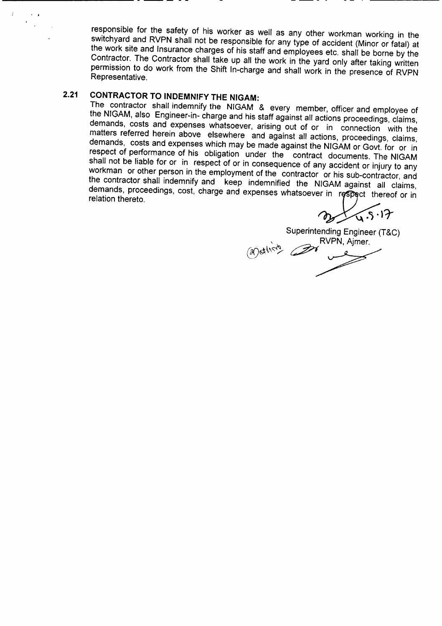responsible for the safety of his worker as well as any other workman working in the switchyard and RVPN shall not be responsible for any type of accident (Minor or fatal) at the work site and Insurance charges of his staff and employees etc. shall be borne by the Contractor. The Contractor shall take up all the work in the yard only after taking written permission to do work from the Shift In-charge and shall work in the presence of RVPN Representative.

# **2.21 CONTRACTOR TO INDEMNIFY THE NIGAM:**

**------------** - -- - - -

..

 $\mathcal{F}^{\pm}$ 

The contractor shall indemnify the NIGAM & every member, officer and employee of the NIGAM, also Engineer-in- charge and his staff against all actions proceedings, claims, demands, costs and expenses Whatsoever, arising out of or in connection with the matters referred herein above elsewhere and against all actions, proceedings, claims, demands, costs and expenses which may be made against the NIGAM or Govt. for or in respect of performance of his obligation under the contract documents. The NIGAM shall not be liable for or in respect of or in consequence of any accident or injury to any workman or other person in the employment of the contractor or his sub-contractor, and the contractor shall indemnify and keep indemnified the NIGAM against all claims, demands, proceedings, cost, charge and expenses whatsoever in respect thereof or in relation thereto.

of 4.5.17

Superintending Engineer (T&C)  $\sim$  RVPN, Ajmer. Superintending Engineer (1)<br>(ai)ether)<br>2007 Company RVPN, Ajmer.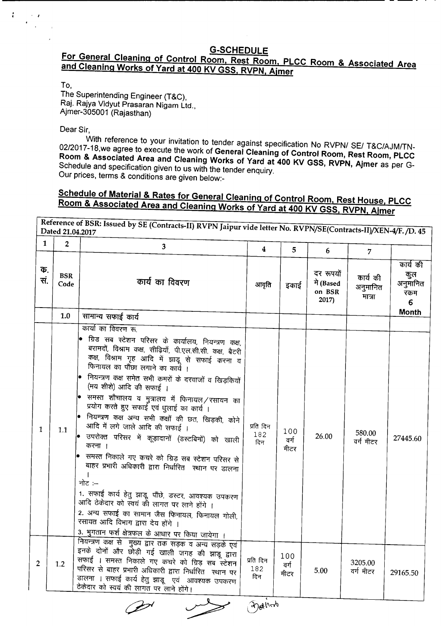## G-SCHEDULE For General Cleaning of Control Room, Rest Room, PLCC Room & Associated Area and Cleaning Works of Yard at 400 KV GSS, RVPN, Ajmer

--------------------------------

To,

The Superintending Engineer (T&C), Raj. Rajya Vidyut Prasaran Nigam Ltd., Ajmer-305001 (Rajasthan)

Dear Sir,

With reference to your invitation to tender against specification No RVPN/ SE/ T&C/AJM/TN-*02/2017-18,we* agree to execute the work of General Cleaning of Control Room, Rest Room, PLCC Room & Associated Area and Cleaning Works of Yard at 400 KV GSS, RVPN, Ajmer as per G-Schedule and specification given to us with the tender enquiry. Our prices, terms & conditions are given below:-

# Schedule of Material & Rates for General Cleaning of Control Room, Rest House, PLCC Room & Associated Area and Cleaning Works of Yard at 400 KV GSS, RVPN, Ajmer

Reference of BSR: Issued by SE (Contracts-II) RVPN Jaipur vide letter No. RVPN/SE(Contracts-II)/XEN-4/F./D. 45  $\begin{array}{|c|c|c|c|c|c|}\n\hline\n1&2&3&4&5&6&7\n\end{array}$ कार्य की *Cli.* GX~ iPnt~ <sup>~</sup> ~. BSR qmf em fctcRur • इकाई +l (Based 31jl1IPJd Code 31jl1IPJd ण (pased ) अनुमानित | <sup>अनुमान</sup><br>on BSR | मात्रा । रकम 2017) 6 1.0 सामान्य सफार्ड कार्य कार्या का विवरण रू • ग्रिड सब स्टेशन परिसर के कार्यालय, नियन्त्रण कक्ष, ~, fct-'ml'l cnlff, ~, ~.~.~.~. cnlff, ~ कक्ष, विश्राम गृह आदि में झाड़ू से सफाई करना व फिनायल का पौंछा लगाने का कार्ये । नियन्त्रण कक्ष समेत सभी कमरों के दरवाजों व खिड़कियों (मय शीशे) आदि की सफाई । समस्त शौचालय व मुत्रालय में फिनायल $/$ रसायन का प्रयोग करते हुए सफाई एवं धुलाई का कार्य । नियन्त्रण कक्ष अन्य सभी कक्षों की छत, खिड़की, कोने  $\begin{array}{|c|c|c|c|c|c|c|c|}\n1 & 1.1 & 30\hline\n1 & 1.1 & 30\hline\n2 & 30.0 & 10.0 & 10.0 & 10.0 & 10.0 & 10.0 & 10.0 & 10.0 & 10.0 & 10.0 & 10.0 & 10.0 & 10.0 & 10.0 & 10.0 & 10.0 & 10.0 & 10.0 & 10.0 & 10.0 & 10.0 & 10.0 & 10.0 & 10.0 & 10.0 & 10.0 & 10.0 & 10.$  $\frac{182}{182}$  100 26.00 580.00 जाप न लग जाल आद का सफाइ ।<br>उपरोक्त परिसर में कूड़ादानों (डस्टबिनों) को खाली किन किन 26.00 किए न की दिए 27445.60 दिन q<f q<f lftcx ~I lftcx • भनस्त ।नकाल गए कुचर को ग्रिड़ सब स्टेशन परिसर से बाहर प्रभारी अधिकारी द्वारा निर्धारित स्थान पर डालना I नोट $:=$ 1. सफाई कार्य हेतु झाडू, पौंछे, डस्टर, आवश्यक उपकरण ~ ~ em x:<rti cBTcwm lR ~ iWT I 2. अन्य सफाई का सामान जैस फिनायल, फिनायल गोली, रसायत आदि विभाग द्वारा देय होंगे । 3. भुगतान फर्श क्षेत्रफल के आधार पर किया जायेगा । ~ cnlff ~ ~Wmp~q3Fll~~ इनके दोनों और छोड़ी गई खाली जगह की झाड़ू द्वारा प्रति दिन $\left| \begin{array}{c} 100 \end{array} \right|$ 2 | 1.2 | सफाई । समस्त निकाले गए कचरे को ग्रिड सब स्टेशन | <sup>प्रति</sup> दिन | <sup>100</sup> | 3205.00<br>2 | 1.2 | परिसर से बाहर प्रभारी अधिकारी द्वारा निर्धारित स्थान पर | <sup>182</sup> | क्रीका | 5.00 | वर्ग मीटर 182 वर्ग  $\frac{1}{2}$ परिसर से बाहर प्रभारी अधिकारी द्वारा निर्धारित स्थान पर  $\frac{1}{2}$  and  $\frac{1}{2}$  and  $\frac{1}{2}$  and  $\frac{1}{2}$  and  $\frac{1}{2}$   $\frac{1}{2}$   $\frac{1}{2}$   $\frac{1}{2}$   $\frac{1}{2}$   $\frac{1}{2}$   $\frac{1}{2}$   $\frac{1}{2}$   $\frac{1}{2}$   $\frac{1}{2}$ दिन मीटर ालेणा । सफाइ कार्य हेतु झाडू - एवं आत्<br>नेतेच्या नो <u>टकदार को स्वय की लागत पर लाने होंगे।</u> ,

~  $\partial_{\theta}$ photo

~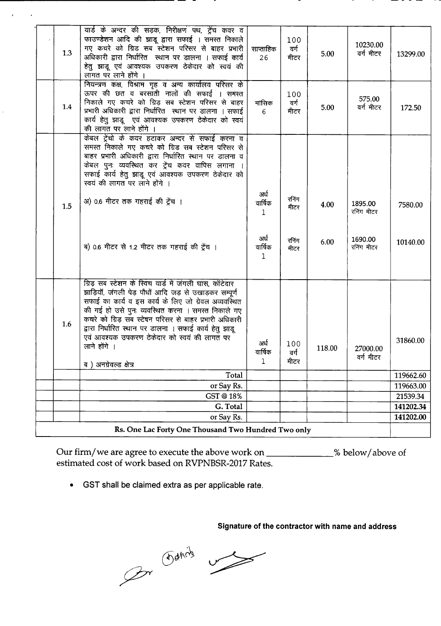|     | यार्ड के अन्दर की सड़क, निरीक्षण पथ, ट्रेंच कवर व                                                          |                 |       |        |                       |           |
|-----|------------------------------------------------------------------------------------------------------------|-----------------|-------|--------|-----------------------|-----------|
|     | फाउण्डेशन आदि की झाडू द्वारा सफाई । समस्त निकाले                                                           |                 | 100   |        |                       |           |
|     | गए कचरे को ग्रिड सब स्टेशन परिसर से बाहर प्रभारी                                                           | साप्ताहिक       | वर्ग  |        | 10230.00              |           |
| 1.3 | अधिकारी द्वारा निर्धारित  स्थान पर डालना । सफाई कार्य                                                      | 26              | मीटर  | 5.00   | वर्ग मीटर             | 13299.00  |
|     | हेतु झाडू एवं आवश्यक उपकरण ठेकेदार को स्वयं की                                                             |                 |       |        |                       |           |
|     | लागत पर लाने होंगे ।                                                                                       |                 |       |        |                       |           |
|     | नियन्त्रण कक्ष, विश्राम गृह व अन्य कार्यालय परिसर के                                                       |                 |       |        |                       |           |
|     | ऊपर की छत व बरसाती नालों की सफाई । समस्त                                                                   |                 | 100   |        |                       |           |
| 1.4 | निकाले गए कचरे को ग्रिड़ सब स्टेशन परिसर से बाहर                                                           | मासिक           | वर्ग  | 5.00   | 575.00<br>वर्ग मीटर   | 172.50    |
|     | प्रभारी अधिकारी द्वारा निर्धारित स्थान पर डालना । सफाई                                                     | 6               | मीटर  |        |                       |           |
|     | कार्य हेतु झाडू एवं आवश्यक उपकरण ठेकेदार को स्वयं                                                          |                 |       |        |                       |           |
|     | की लागत पर लाने होंगे ।                                                                                    |                 |       |        |                       |           |
|     | केबल ट्रेंचो के कवर हटाकर अन्दर से सफाई करना व                                                             |                 |       |        |                       |           |
|     | समस्त निकाले गए कचरे को ग्रिड सब स्टेशन परिसर से                                                           |                 |       |        |                       |           |
|     | बाहर प्रभारी अधिकारी द्वारा निर्धारित स्थान पर डालना व                                                     |                 |       |        |                       |           |
|     | केबल पुनः व्यवस्थित कर ट्रेंच कवर वापिस लगाना ।                                                            |                 |       |        |                       |           |
|     | सफाई कार्य हेतु झाडू एवं आवश्यक उपकरण ठेकेदार को<br>स्वयं की लागत पर लाने होंगे ।                          |                 |       |        |                       |           |
|     |                                                                                                            |                 |       |        |                       |           |
|     | अ) 0.6 मीटर तक गहराई की ट्रेंच ।                                                                           | अर्ध<br>वार्षिक | रनिंग |        |                       |           |
| 1.5 |                                                                                                            | 1               | मीटर  | 4.00   | 1895.00<br>रनिंग मीटर | 7580.00   |
|     |                                                                                                            |                 |       |        |                       |           |
|     |                                                                                                            |                 |       |        |                       |           |
|     |                                                                                                            | अर्ध            | रनिंग | 6.00   | 1690.00               |           |
|     | ब) 0.6 मीटर से 1.2 मीटर तक गहराई की ट्रेंच ।                                                               | वार्षिक         | मीटर  |        | रनिंग मीटर            | 10140.00  |
|     |                                                                                                            | $\mathbf{1}$    |       |        |                       |           |
|     |                                                                                                            |                 |       |        |                       |           |
|     |                                                                                                            |                 |       |        |                       |           |
|     | ग्रिड़ सब स्टेशन के स्विच यार्ड में जंगली घास, कॉटेदार                                                     |                 |       |        |                       |           |
|     | झाड़ियॉ, जंगली पेड़ पौधों आदि जड़ से उखाड़कर सम्पूर्ण                                                      |                 |       |        |                       |           |
|     | सफाई का कार्य व इस कार्य के लिए जो ग्रेवल अव्यवस्थित<br>की गई हो उसे पुनः व्यवस्थित करना । समस्त निकाले गए |                 |       |        |                       |           |
|     | कचरे को ग्रिड़ सब स्टेषन परिसर से बाहर प्रभारी अधिकारी                                                     |                 |       |        |                       |           |
| 1.6 | द्वारा निर्धारित स्थान पर डालना । सफाई कार्य हेतु झाडू                                                     |                 |       |        |                       |           |
|     | एवं आवश्यक उपकरण ठेकेदार को स्वयं की लागत पर                                                               |                 |       |        |                       |           |
|     | लाने होंगे ।                                                                                               | अर्ध            | 100   | 118.00 |                       | 31860.00  |
|     |                                                                                                            | वार्षिक         | वर्ग  |        | 27000.00<br>वर्ग मीटर |           |
|     | ब) अनग्रेवल्ड क्षेत्र                                                                                      | 1               | ਸੀਟਾ  |        |                       |           |
|     | Total                                                                                                      |                 |       |        |                       | 119662.60 |
|     | or Say Rs.                                                                                                 |                 |       |        |                       | 119663.00 |
|     | GST@18%                                                                                                    |                 |       |        |                       | 21539.34  |
|     | G. Total                                                                                                   |                 |       |        |                       | 141202.34 |
|     | or Say Rs.                                                                                                 |                 |       |        |                       | 141202.00 |
|     | Rs. One Lac Forty One Thousand Two Hundred Two only                                                        |                 |       |        |                       |           |

Our firm/we are agree to execute the above work on \_\_\_\_\_\_\_\_\_\_\_\_\_% below/above of estimated cost of work based on RVPNBSR-2017 Rates.

• GST shall be claimed extra as per applicable rate.

**Signature of the contractor with name and address**

Our Fancis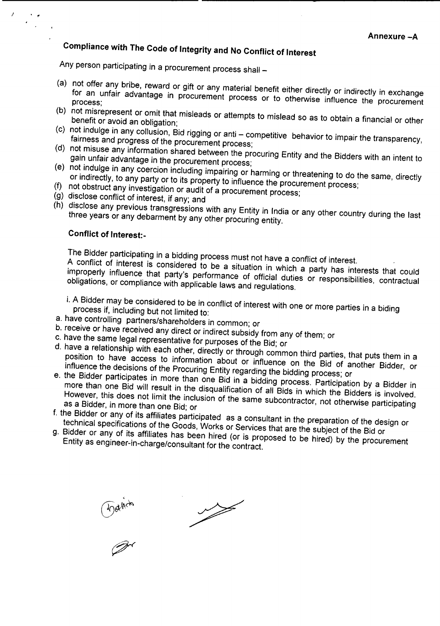# **Compliance with The Code of Integrity and No Conflict of Interest**

Any person participating in a procurement process shall -

- (a) not offer any bribe, reward or gift or any material benefit either directly or indirectly in exchange for an unfair advantage in procurement process or to otherwise influence the procurement process;
- (b) not misrepresent or omit that misleads or attempts to mislead so as to obtain <sup>a</sup> financial or other benefit or avoid an obligation;
- (c) not indulge in any collusion, Bid rigging or anti competitive behavior to impair the transparency, fairness and progress of the procurement process;
- (d) not misuse any information shared between the procuring Entity and the Bidders with an intent to gain unfair advantage in the procurement process;
- (e) not indulge in any coercion including impairing or harming or threatening to do the same, directly or indirectly, to any party or to its property to influence the procurement process;
- (f) not obstruct any investigation or audit of a procurement process;
- (g) disclose conflict of interest, if any; and
- (h) disclose any previous transgressions with any Entity in India or any other country during the last three years or any debarment by any other procuring entity.

## **Conflict of Interest:-**

 $\mathbf{r}$ 

The Bidder participating in a bidding process must not have a conflict of interest.

A conflict of interest is considered to be a situation in which a party has interests that could improperly influence that party's performance of official duties or responsibilities, contractual obligations, or compliance with applicable laws and regulations.

i. A Bidder may be considered to be in conflict of interest with one or more parties in a biding process if, including but not limited to:

- a. have controlling partners/shareholders in common; or
- b. receive or have received any direct or indirect subsidy from any of them; or
- c. have the same legal representative for purposes of the Bid; or
- d. have a relationship with each other, directly or through common third parties, that puts them in a position to have access to information about or influence on the Bid of another Bidder, or influence the decisions of the Procuring Entity regarding the bidding process; or
- e. the Bidder participates in more than one Bid in a bidding process. Participation by a Bidder in more than one Bid will result in the disqualification of all Bids in which the Bidders is involved. However, this does not limit the inclusion of the same subcontractor, not otherwise participating as a Bidder, in more than one Bid; or
- f. the Bidder or any of its affiliates participated as a consultant in the preparation of the design or technical specifications of the Goods, Works or Services that are the subject of the Bid or
- g. Bidder or any of its affiliates has been hired (or is proposed to be hired) by the procurement Entity as engineer-in-charge/consultant for the contract.

 $\omega$ 

 $\begin{picture}(120,17)(-20,17)(-20,17)(-20,17)(-20,17)(-20,17)(-20,17)(-20,17)(-20,17)(-20,17)(-20,17)(-20,17)(-20,17)(-20,17)(-20,17)(-20,17)(-20,17)(-20,17)(-20,17)(-20,17)(-20,17)(-20,17)(-20,17)(-20,17)(-20,17)(-20,17)(-20,17)(-20,17)(-20,17)(-20,17)(-20,1$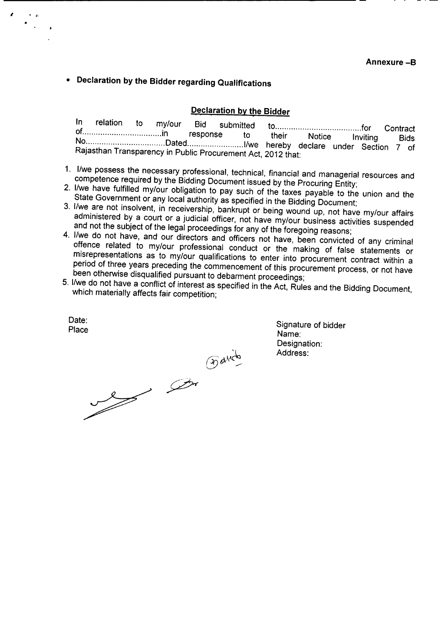**• Declaration by the Bidder regarding Qualifications**

### **Declaration by the Bidder**

|                                                                                                               |  |  |  | their Notice Inviting |  | Bids |
|---------------------------------------------------------------------------------------------------------------|--|--|--|-----------------------|--|------|
| NoDatedI/we hereby declare under Section 7 of<br>Rajasthan Transparency in Public Procurement Act. 2012 that: |  |  |  |                       |  |      |
|                                                                                                               |  |  |  |                       |  |      |

- 1. IIwe possess the necessary professional, technical, financial and managerial resources and competence required by the Bidding Document issued by the Procuring Entity;
- 2. I/we have fulfilled my/our obligation to pay such of the taxes payable to the union and the State Government or any local authority as specified in the Bidding Document;
- 3. I/we are not insolvent, in receivership, bankrupt or being wound up, not have my/our affairs administered by a court or a judicial officer, not have my/our business activities suspended and not the subject of the legal proceedings for any of the foregoing reasons;
- 4. I/we do not have, and our directors and officers not have, been convicted of any criminal offence related to my/our professional conduct or the making of false statements or misrepresentations as to my/our qualifications to enter into procurement contract within a period of three years preceding the commencement of this procurement process, or not have been otherwise disqualified pursuant to debarment proceedings;
- 5. IIwe do not have a conflict of interest as specified in the Act, Rules and the Bidding Document, which materially affects fair competition;

Date:<br>Place

 $\overline{\phantom{a}}$ •

a contraction

Signature of bidder Name: Designation: Address: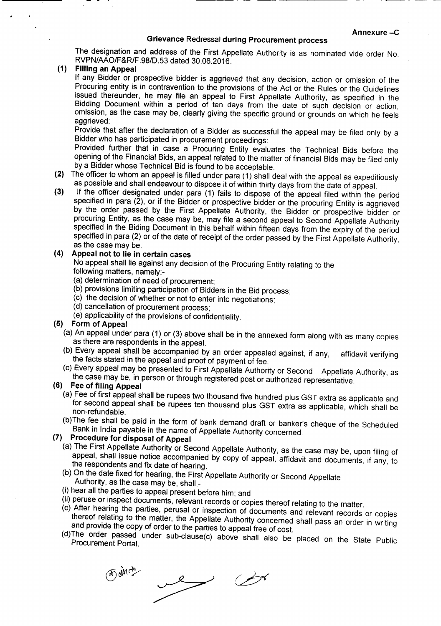#### Grievance Redressal during Procurement process

---- . - -- --------

The designation and address of the First Appellate Authority is as nominated vide order No. RVPN/AAO/F&R/F.98/D.53 dated 30.06.2016.

### (1) Filling an Appeal

If any Bidder or prospective bidder is aggrieved that any decision, action or omission of the Procuring entity is in contravention to the provisions of the Act or the Rules or the Guidelines issued thereunder, he may file an appeal to First Appellate Authority, as specified in the Bidding Document within a period of ten days from the date of such decision or action, omission, as the case may be, clearly giving the specific ground or grounds on which he feels aggrieved:

Provide that after the declaration of a Bidder as successful the appeal may be filed only by a Bidder who has participated in procurement proceedings:

Provided further that in case a Procuring Entity evaluates the Technical Bids before the opening of the Financial Bids, an appeal related to the matter of financial Bids may be filed only by a Bidder whose Technical Bid is found to be acceptable.

- (2) The officer to whom an appeal is filled under para (1) shall deal with the appeal as expeditiously as possible and shall endeavour to dispose it of within thirty days from the date of appeal.
- (3) If the officer designated under para (1) fails to dispose of the appeal filed within the period specified in para  $(2)$ , or if the Bidder or prospective bidder or the procuring Entity is aggrieved by the order passed by the First Appellate Authority, the Bidder or prospective bidder or procuring Entity, as the case may be, may file a second appeal to Second Appellate Authority specified in the Biding Document in this behalf within fifteen days from the expiry of the period specified in para (2) or of the date of receipt of the order passed by the First Appellate Authority, as the case may be.

### (4) Appeal not to lie in certain cases

No appeal shall lie against any decision of the Procuring Entity relating to the following matters, namely:-

- (a) determination of need of procurement;
- (b) provisions limiting participation of Bidders in the Bid process;
- (c) the decision of whether or not to enter into negotiations;
- (d) cancellation of procurement process;
- (e) applicability of the provisions of confidentiality.

### (5) Form of Appeal

- (a) An appeal under para (1) or (3) above shall be in the annexed form along with as many copies as there are respondents in the appeal.
- (b) Every appeal shall be accompanied by an order appealed against, if any, affidavit verifying the facts stated in the appeal and proof of payment of fee.
- (c) Every appeal may be presented to First Appellate Authority or Second Appellate Authority, as the case may be, in person or through registered post or authorized representative.

## (6) Fee of filing Appeal

- (a) Fee of first appeal shall be rupees two thousand five hundred plus GST extra as applicable and for second appeal shall be rupees ten thousand plus GST extra as applicable, which shall be non-refundable.
- (b)The fee shall be paid in the form of bank demand draft or banker's cheque of the Scheduled Bank in India payable in the name of Appellate Authority concerned.

# (7) Procedure for disposal of Appeal

- (a) The First Appellate Authority or Second Appellate Authority, as the case may be, upon filing of appeal, shall issue notice accompanied by copy of appeal, affidavit and documents, if any, to the respondents and fix date of hearing.
- (b) On the date fixed for hearing, the First Appellate Authority or Second Appellate Authority, as the case may be, shall,-
- (i) hear all the parties to appeal present before him; and
- (ii) peruse or inspect documents, relevant records or copies thereof relating to the matter.
- (c) After hearing the parties, perusal or inspection of documents and relevant records or copies thereof relating to the matter, the Appellate Authority concerned shall pass an order in writing and provide the copy of order to the parties to appeal free of cost.
- (d)The order passed under sub-clause(c) above shall also be placed on the State Public Procurement Portal.

**Dainer**  $\rightarrow$  $\overline{\mathscr{S}}$